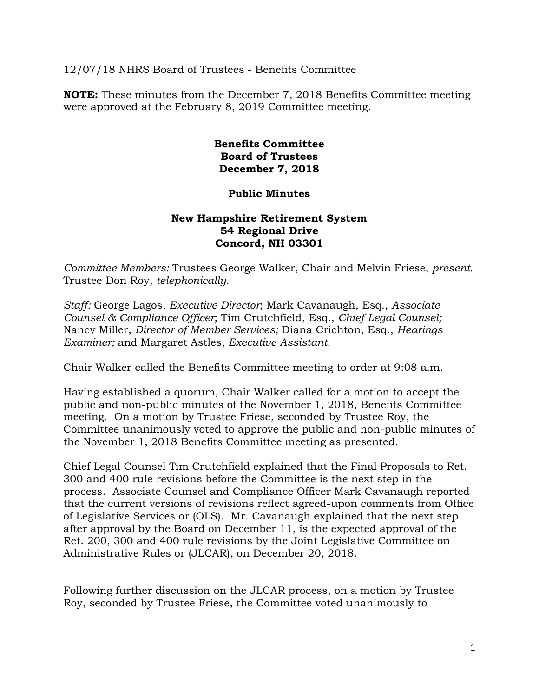12/07/18 NHRS Board of Trustees - Benefits Committee

**NOTE:** These minutes from the December 7, 2018 Benefits Committee meeting were approved at the February 8, 2019 Committee meeting.

> **Benefits Committee Board of Trustees December 7, 2018**

## **Public Minutes**

## **New Hampshire Retirement System 54 Regional Drive Concord, NH 03301**

*Committee Members:* Trustees George Walker, Chair and Melvin Friese, *present.*  Trustee Don Roy, *telephonically.* 

*Staff:* George Lagos, *Executive Director*; Mark Cavanaugh, Esq., *Associate Counsel & Compliance Officer*; Tim Crutchfield, Esq., *Chief Legal Counsel;* Nancy Miller, *Director of Member Services;* Diana Crichton, Esq., *Hearings Examiner;* and Margaret Astles, *Executive Assistant.* 

Chair Walker called the Benefits Committee meeting to order at 9:08 a.m.

Having established a quorum, Chair Walker called for a motion to accept the public and non-public minutes of the November 1, 2018, Benefits Committee meeting. On a motion by Trustee Friese, seconded by Trustee Roy, the Committee unanimously voted to approve the public and non-public minutes of the November 1, 2018 Benefits Committee meeting as presented.

Chief Legal Counsel Tim Crutchfield explained that the Final Proposals to Ret. 300 and 400 rule revisions before the Committee is the next step in the process. Associate Counsel and Compliance Officer Mark Cavanaugh reported that the current versions of revisions reflect agreed-upon comments from Office of Legislative Services or (OLS). Mr. Cavanaugh explained that the next step after approval by the Board on December 11, is the expected approval of the Ret. 200, 300 and 400 rule revisions by the Joint Legislative Committee on Administrative Rules or (JLCAR), on December 20, 2018.

Following further discussion on the JLCAR process, on a motion by Trustee Roy, seconded by Trustee Friese, the Committee voted unanimously to